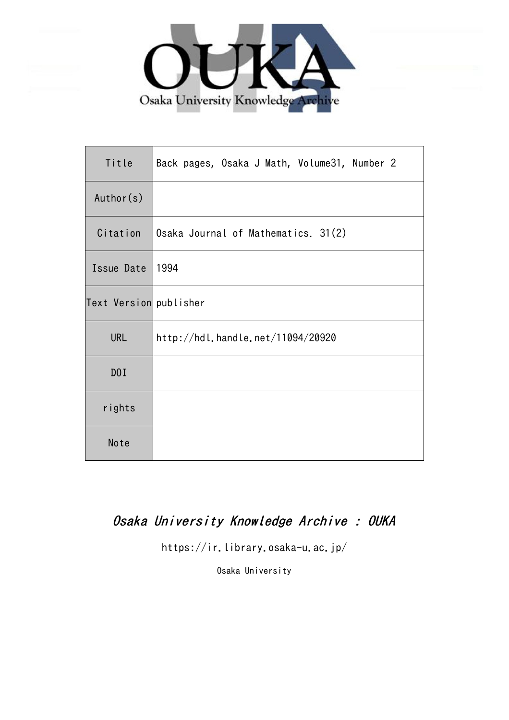

| Title                  | Back pages, Osaka J Math, Volume31, Number 2 |
|------------------------|----------------------------------------------|
| Author(s)              |                                              |
| Citation               | Osaka Journal of Mathematics. 31(2)          |
| Issue Date             | 1994                                         |
| Text Version publisher |                                              |
| <b>URL</b>             | http://hdl.handle.net/11094/20920            |
| D0I                    |                                              |
| rights                 |                                              |
| Note                   |                                              |

## Osaka University Knowledge Archive : OUKA

https://ir.library.osaka-u.ac.jp/

Osaka University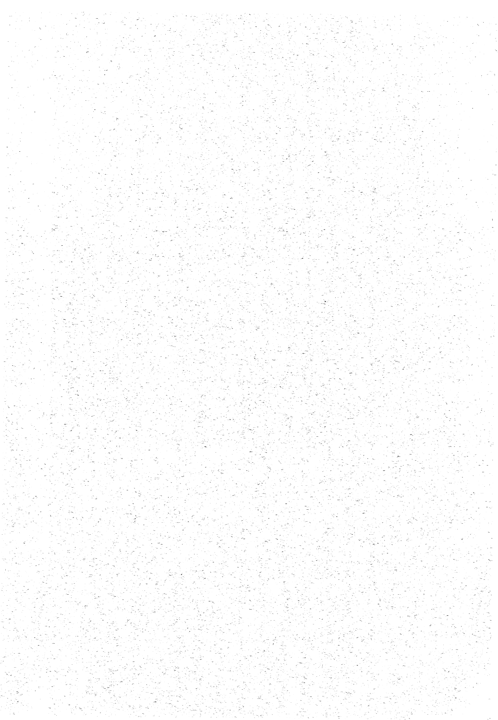